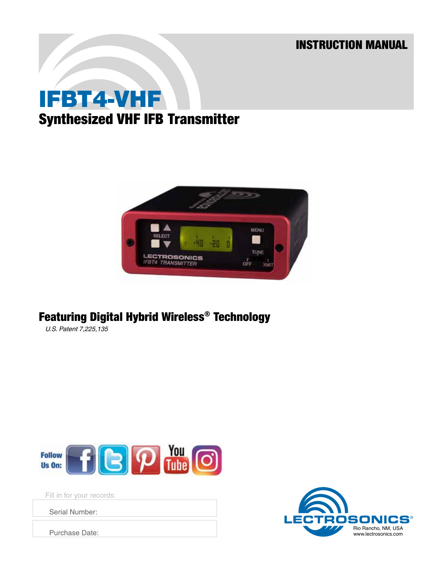INSTRUCTION MANUAL

# IFBT4-VHF Synthesized VHF IFB Transmitter



## Featuring Digital Hybrid Wireless® Technology

*U.S. Patent 7,225,135*



Fill in for your records:

Serial Number:

Purchase Date:

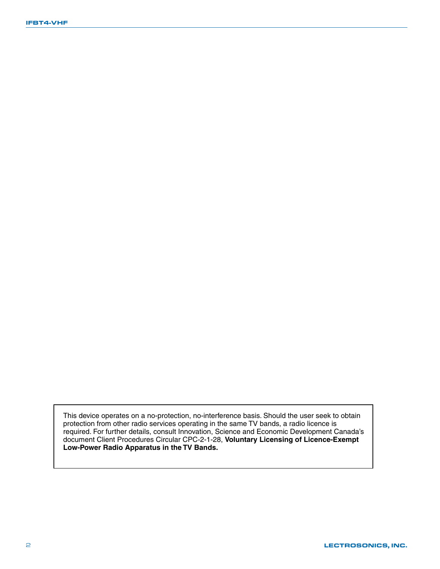This device operates on a no-protection, no-interference basis. Should the user seek to obtain protection from other radio services operating in the same TV bands, a radio licence is required. For further details, consult Innovation, Science and Economic Development Canada's document Client Procedures Circular CPC-2-1-28, **Voluntary Licensing of Licence-Exempt Low-Power Radio Apparatus in the TV Bands.**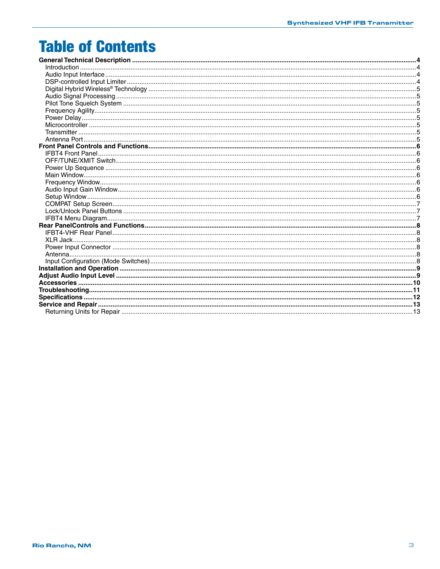## **Table of Contents**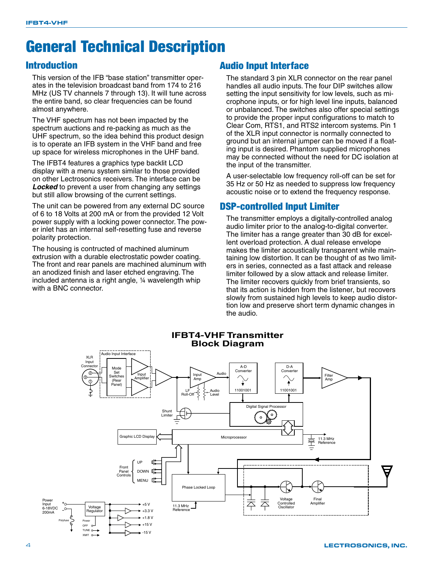## General Technical Description

### Introduction

This version of the IFB "base station" transmitter operates in the television broadcast band from 174 to 216 MHz (US TV channels 7 through 13). It will tune across the entire band, so clear frequencies can be found almost anywhere.

The VHF spectrum has not been impacted by the spectrum auctions and re-packing as much as the UHF spectrum, so the idea behind this product design is to operate an IFB system in the VHF band and free up space for wireless microphones in the UHF band.

The IFBT4 features a graphics type backlit LCD display with a menu system similar to those provided on other Lectrosonics receivers. The interface can be **Locked** to prevent a user from changing any settings but still allow browsing of the current settings.

The unit can be powered from any external DC source of 6 to 18 Volts at 200 mA or from the provided 12 Volt power supply with a locking power connector. The power inlet has an internal self-resetting fuse and reverse polarity protection.

The housing is contructed of machined aluminum extrusion with a durable electrostatic powder coating. The front and rear panels are machined aluminum with an anodized finish and laser etched engraving. The included antenna is a right angle, ¼ wavelength whip with a BNC connector.

### Audio Input Interface

The standard 3 pin XLR connector on the rear panel handles all audio inputs. The four DIP switches allow setting the input sensitivity for low levels, such as microphone inputs, or for high level line inputs, balanced or unbalanced. The switches also offer special settings to provide the proper input configurations to match to Clear Com, RTS1, and RTS2 intercom systems. Pin 1 of the XLR input connector is normally connected to ground but an internal jumper can be moved if a floating input is desired. Phantom supplied microphones may be connected without the need for DC isolation at the input of the transmitter.

A user-selectable low frequency roll-off can be set for 35 Hz or 50 Hz as needed to suppress low frequency acoustic noise or to extend the frequency response.

### DSP-controlled Input Limiter

The transmitter employs a digitally-controlled analog audio limiter prior to the analog-to-digital converter. The limiter has a range greater than 30 dB for excellent overload protection. A dual release envelope makes the limiter acoustically transparent while maintaining low distortion. It can be thought of as two limiters in series, connected as a fast attack and release limiter followed by a slow attack and release limiter. The limiter recovers quickly from brief transients, so that its action is hidden from the listener, but recovers slowly from sustained high levels to keep audio distortion low and preserve short term dynamic changes in the audio.

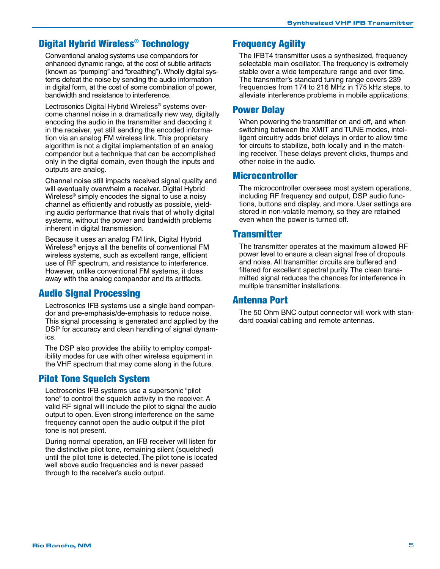## Digital Hybrid Wireless® Technology

Conventional analog systems use compandors for enhanced dynamic range, at the cost of subtle artifacts (known as "pumping" and "breathing"). Wholly digital systems defeat the noise by sending the audio information in digital form, at the cost of some combination of power, bandwidth and resistance to interference.

Lectrosonics Digital Hybrid Wireless® systems overcome channel noise in a dramatically new way, digitally encoding the audio in the transmitter and decoding it in the receiver, yet still sending the encoded information via an analog FM wireless link. This proprietary algorithm is not a digital implementation of an analog compandor but a technique that can be accomplished only in the digital domain, even though the inputs and outputs are analog.

Channel noise still impacts received signal quality and will eventually overwhelm a receiver. Digital Hybrid Wireless® simply encodes the signal to use a noisy channel as efficiently and robustly as possible, yielding audio performance that rivals that of wholly digital systems, without the power and bandwidth problems inherent in digital transmission.

Because it uses an analog FM link, Digital Hybrid Wireless® enjoys all the benefits of conventional FM wireless systems, such as excellent range, efficient use of RF spectrum, and resistance to interference. However, unlike conventional FM systems, it does away with the analog compandor and its artifacts.

### Audio Signal Processing

Lectrosonics IFB systems use a single band compandor and pre-emphasis/de-emphasis to reduce noise. This signal processing is generated and applied by the DSP for accuracy and clean handling of signal dynamics.

The DSP also provides the ability to employ compatibility modes for use with other wireless equipment in the VHF spectrum that may come along in the future.

#### Pilot Tone Squelch System

Lectrosonics IFB systems use a supersonic "pilot tone" to control the squelch activity in the receiver. A valid RF signal will include the pilot to signal the audio output to open. Even strong interference on the same frequency cannot open the audio output if the pilot tone is not present.

During normal operation, an IFB receiver will listen for the distinctive pilot tone, remaining silent (squelched) until the pilot tone is detected. The pilot tone is located well above audio frequencies and is never passed through to the receiver's audio output.

### Frequency Agility

The IFBT4 transmitter uses a synthesized, frequency selectable main oscillator. The frequency is extremely stable over a wide temperature range and over time. The transmitter's standard tuning range covers 239 frequencies from 174 to 216 MHz in 175 kHz steps. to alleviate interference problems in mobile applications.

#### Power Delay

When powering the transmitter on and off, and when switching between the XMIT and TUNE modes, intelligent circuitry adds brief delays in order to allow time for circuits to stabilize, both locally and in the matching receiver. These delays prevent clicks, thumps and other noise in the audio.

#### Microcontroller

The microcontroller oversees most system operations, including RF frequency and output, DSP audio functions, buttons and display, and more. User settings are stored in non-volatile memory, so they are retained even when the power is turned off.

#### **Transmitter**

The transmitter operates at the maximum allowed RF power level to ensure a clean signal free of dropouts and noise. All transmitter circuits are buffered and filtered for excellent spectral purity. The clean transmitted signal reduces the chances for interference in multiple transmitter installations.

#### Antenna Port

The 50 Ohm BNC output connector will work with standard coaxial cabling and remote antennas.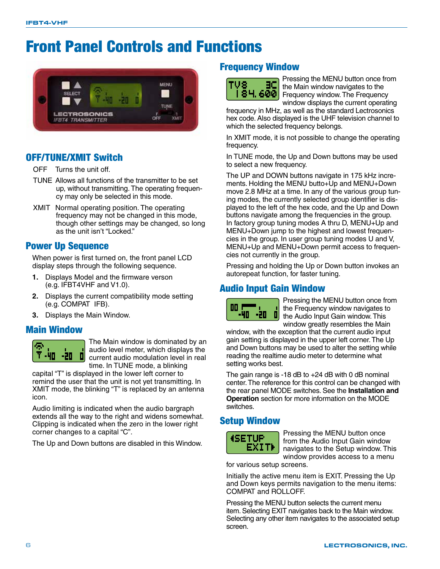## Front Panel Controls and Functions



## OFF/TUNE/XMIT Switch

OFF Turns the unit off.

- TUNE Allows all functions of the transmitter to be set up, without transmitting. The operating frequency may only be selected in this mode.
- XMIT Normal operating position. The operating frequency may not be changed in this mode, though other settings may be changed, so long as the unit isn't "Locked."

### Power Up Sequence

When power is first turned on, the front panel LCD display steps through the following sequence.

- **1.** Displays Model and the firmware verson (e.g. IFBT4VHF and V1.0).
- **2.** Displays the current compatibility mode setting (e.g. COMPAT IFB).
- **3.** Displays the Main Window.

### Main Window



The Main window is dominated by an audio level meter, which displays the current audio modulation level in real time. In TUNE mode, a blinking

capital "T" is displayed in the lower left corner to remind the user that the unit is not yet transmitting. In XMIT mode, the blinking "T" is replaced by an antenna icon.

Audio limiting is indicated when the audio bargraph extends all the way to the right and widens somewhat. Clipping is indicated when the zero in the lower right corner changes to a capital "C".

The Up and Down buttons are disabled in this Window.

### Frequency Window



Pressing the MENU button once from the Main window navigates to the Frequency window. The Frequency window displays the current operating

frequency in MHz, as well as the standard Lectrosonics hex code. Also displayed is the UHF television channel to which the selected frequency belongs.

In XMIT mode, it is not possible to change the operating frequency.

In TUNE mode, the Up and Down buttons may be used to select a new frequency.

The UP and DOWN buttons navigate in 175 kHz increments. Holding the MENU butto+Up and MENU+Down move 2.8 MHz at a time. In any of the various group tuning modes, the currently selected group identifier is displayed to the left of the hex code, and the Up and Down buttons navigate among the frequencies in the group. In factory group tuning modes A thru D, MENU+Up and MENU+Down jump to the highest and lowest frequencies in the group. In user group tuning modes U and V, MENU+Up and MENU+Down permit access to frequencies not currently in the group.

Pressing and holding the Up or Down button invokes an autorepeat function, for faster tuning.

## Audio Input Gain Window



Pressing the MENU button once from the Frequency window navigates to the Audio Input Gain window. This window greatly resembles the Main

window, with the exception that the current audio input gain setting is displayed in the upper left corner. The Up and Down buttons may be used to alter the setting while reading the realtime audio meter to determine what setting works best.

The gain range is -18 dB to  $+24$  dB with 0 dB nominal center. The reference for this control can be changed with the rear panel MODE switches. See the **Installation and Operation** section for more information on the MODE switches.

### Setup Window



Pressing the MENU button once from the Audio Input Gain window navigates to the Setup window. This window provides access to a menu

for various setup screens.

Initially the active menu item is EXIT. Pressing the Up and Down keys permits navigation to the menu items: COMPAT and ROLLOFF.

Pressing the MENU button selects the current menu item. Selecting EXIT navigates back to the Main window. Selecting any other item navigates to the associated setup screen.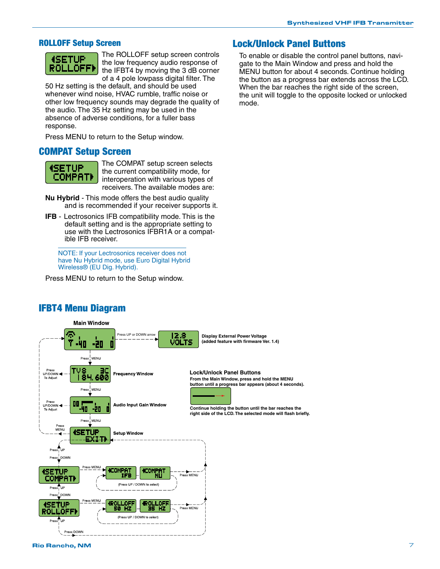#### ROLLOFF Setup Screen



The ROLLOFF setup screen controls the low frequency audio response of the IFBT4 by moving the 3 dB corner of a 4 pole lowpass digital filter. The

50 Hz setting is the default, and should be used whenever wind noise, HVAC rumble, traffic noise or other low frequency sounds may degrade the quality of the audio. The 35 Hz setting may be used in the absence of adverse conditions, for a fuller bass response.

Press MENU to return to the Setup window.

#### COMPAT Setup Screen



The COMPAT setup screen selects the current compatibility mode, for interoperation with various types of receivers. The available modes are:

- **Nu Hybrid** This mode offers the best audio quality and is recommended if your receiver supports it.
- **IFB** Lectrosonics IFB compatibility mode. This is the default setting and is the appropriate setting to use with the Lectrosonics IFBR1A or a compatible IFB receiver.

NOTE: If your Lectrosonics receiver does not have Nu Hybrid mode, use Euro Digital Hybrid Wireless® (EU Dig. Hybrid).

Press MENU to return to the Setup window.

#### Lock/Unlock Panel Buttons

To enable or disable the control panel buttons, navigate to the Main Window and press and hold the MENU button for about 4 seconds. Continue holding the button as a progress bar extends across the LCD. When the bar reaches the right side of the screen, the unit will toggle to the opposite locked or unlocked mode.



### IFBT4 Menu Diagram

**Main Window** 

Rio Rancho, NM 7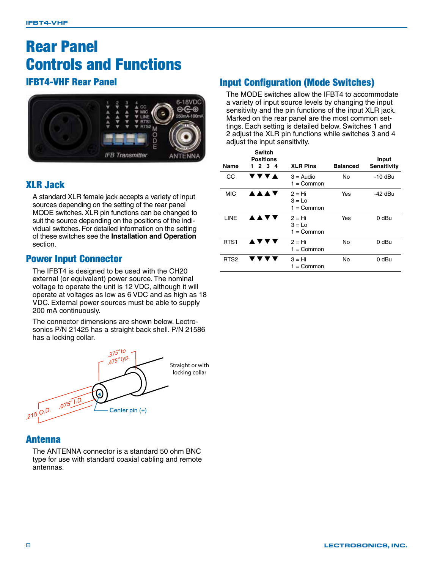## Rear Panel Controls and Functions

## IFBT4-VHF Rear Panel



## XLR Jack

A standard XLR female jack accepts a variety of input sources depending on the setting of the rear panel MODE switches. XLR pin functions can be changed to suit the source depending on the positions of the individual switches. For detailed information on the setting of these switches see the **Installation and Operation** section.

### Power Input Connector

The IFBT4 is designed to be used with the CH20 external (or equivalent) power source. The nominal voltage to operate the unit is 12 VDC, although it will operate at voltages as low as 6 VDC and as high as 18 VDC. External power sources must be able to supply 200 mA continuously.

The connector dimensions are shown below. Lectrosonics P/N 21425 has a straight back shell. P/N 21586 has a locking collar.



### Antenna

The ANTENNA connector is a standard 50 ohm BNC type for use with standard coaxial cabling and remote antennas.

## Input Configuration (Mode Switches)

The MODE switches allow the IFBT4 to accommodate a variety of input source levels by changing the input sensitivity and the pin functions of the input XLR jack. Marked on the rear panel are the most common settings. Each setting is detailed below. Switches 1 and 2 adjust the XLR pin functions while switches 3 and 4 adjust the input sensitivity.

|                  | <b>Switch</b><br>Positions |                                             |                 | Input              |
|------------------|----------------------------|---------------------------------------------|-----------------|--------------------|
| Name             | 2 3 4<br>1.                | <b>XLR Pins</b>                             | <b>Balanced</b> | <b>Sensitivity</b> |
| CС               | <b>/ ▼ ▼ ▲</b>             | $3 =$ Audio<br>$1 =$ Common                 | No              | -10 dBu            |
| <b>MIC</b>       | <b>AAAV</b>                | $2 = Hi$<br>$3 = Lo$<br>1 = Common          | Yes             | -42 dBu            |
| LINE             | <b>AAVV</b>                | $2 = Hi$<br>$3 = Lo$<br>$1 = \text{Common}$ | Yes             | 0 dBu              |
| RTS <sub>1</sub> | ▲▼▼▼                       | $2 = Hi$<br>$1 =$ Common                    | No              | 0 dBu              |
| RTS <sub>2</sub> |                            | 3 = Hi<br>1 = Common                        | No              | 0 dBu              |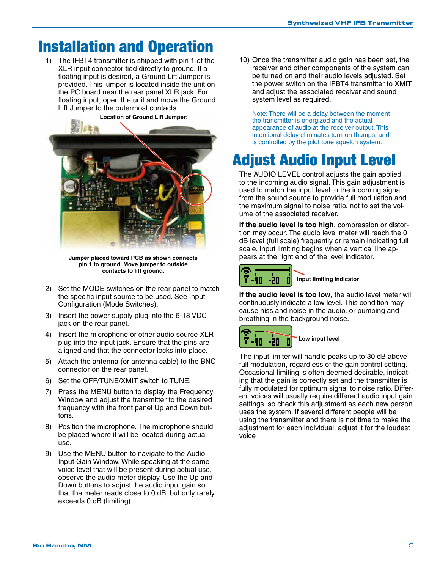## Installation and Operation

1) The IFBT4 transmitter is shipped with pin 1 of the XLR input connector tied directly to ground. If a floating input is desired, a Ground Lift Jumper is provided. This jumper is located inside the unit on the PC board near the rear panel XLR jack. For floating input, open the unit and move the Ground Lift Jumper to the outermost contacts.



**Jumper placed toward PCB as shown connects pin 1 to ground. Move jumper to outside contacts to lift ground.**

- 2) Set the MODE switches on the rear panel to match the specific input source to be used. See Input Configuration (Mode Switches).
- 3) Insert the power supply plug into the 6-18 VDC jack on the rear panel.
- 4) Insert the microphone or other audio source XLR plug into the input jack. Ensure that the pins are aligned and that the connector locks into place.
- 5) Attach the antenna (or antenna cable) to the BNC connector on the rear panel.
- 6) Set the OFF/TUNE/XMIT switch to TUNE.
- 7) Press the MENU button to display the Frequency Window and adjust the transmitter to the desired frequency with the front panel Up and Down buttons.
- 8) Position the microphone. The microphone should be placed where it will be located during actual use.
- 9) Use the MENU button to navigate to the Audio Input Gain Window. While speaking at the same voice level that will be present during actual use, observe the audio meter display. Use the Up and Down buttons to adjust the audio input gain so that the meter reads close to 0 dB, but only rarely exceeds 0 dB (limiting).

10) Once the transmitter audio gain has been set, the receiver and other components of the system can be turned on and their audio levels adjusted. Set the power switch on the IFBT4 transmitter to XMIT and adjust the associated receiver and sound system level as required.

Note: There will be a delay between the moment the transmitter is energized and the actual appearance of audio at the receiver output. This intentional delay eliminates turn-on thumps, and is controlled by the pilot tone squelch system.

## Adjust Audio Input Level

The AUDIO LEVEL control adjusts the gain applied to the incoming audio signal. This gain adjustment is used to match the input level to the incoming signal from the sound source to provide full modulation and the maximum signal to noise ratio, not to set the volume of the associated receiver.

**If the audio level is too high**, compression or distortion may occur. The audio level meter will reach the 0 dB level (full scale) frequently or remain indicating full scale. Input limiting begins when a vertical line appears at the right end of the level indicator.



**If the audio level is too low**, the audio level meter will continuously indicate a low level. This condition may cause hiss and noise in the audio, or pumping and breathing in the background noise.



The input limiter will handle peaks up to 30 dB above full modulation, regardless of the gain control setting. Occasional limiting is often deemed desirable, indicating that the gain is correctly set and the transmitter is fully modulated for optimum signal to noise ratio. Different voices will usually require different audio input gain settings, so check this adjustment as each new person uses the system. If several different people will be using the transmitter and there is not time to make the adjustment for each individual, adjust it for the loudest voice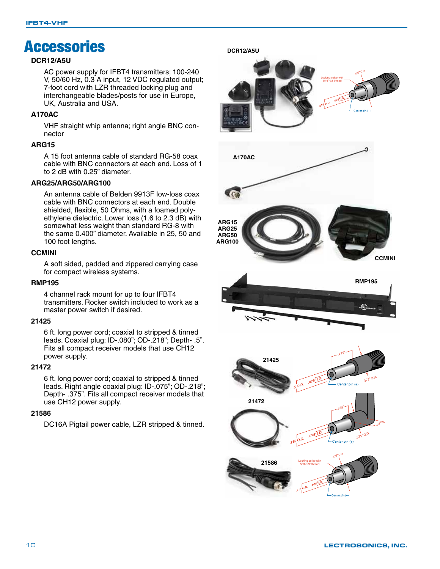## **Accessories**

#### **DCR12/A5U**

AC power supply for IFBT4 transmitters; 100-240 V, 50/60 Hz, 0.3 A input, 12 VDC regulated output; 7-foot cord with LZR threaded locking plug and interchangeable blades/posts for use in Europe, UK, Australia and USA.

#### **A170AC**

VHF straight whip antenna; right angle BNC connector

#### **ARG15**

A 15 foot antenna cable of standard RG-58 coax cable with BNC connectors at each end. Loss of 1 to 2 dB with 0.25" diameter.

#### **ARG25/ARG50/ARG100**

An antenna cable of Belden 9913F low-loss coax cable with BNC connectors at each end. Double shielded, flexible, 50 Ohms, with a foamed polyethylene dielectric. Lower loss (1.6 to 2.3 dB) with somewhat less weight than standard RG-8 with the same 0.400" diameter. Available in 25, 50 and 100 foot lengths.

#### **CCMINI**

A soft sided, padded and zippered carrying case for compact wireless systems.

#### **RMP195**

4 channel rack mount for up to four IFBT4 transmitters. Rocker switch included to work as a master power switch if desired.

#### **21425**

6 ft. long power cord; coaxial to stripped & tinned leads. Coaxial plug: ID-.080"; OD-.218"; Depth- .5". Fits all compact receiver models that use CH12 power supply.

#### **21472**

6 ft. long power cord; coaxial to stripped & tinned leads. Right angle coaxial plug: ID-.075"; OD-.218"; Depth- .375". Fits all compact receiver models that use CH12 power supply.

#### **21586**

DC16A Pigtail power cable, LZR stripped & tinned.

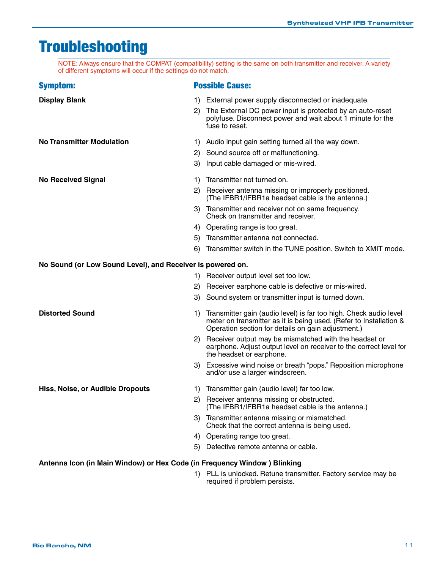## Troubleshooting

NOTE: Always ensure that the COMPAT (compatibility) setting is the same on both transmitter and receiver. A variety of different symptoms will occur if the settings do not match.

| <b>Symptom:</b>                                            | <b>Possible Cause:</b> |                                                                                                                                                                                                |  |  |
|------------------------------------------------------------|------------------------|------------------------------------------------------------------------------------------------------------------------------------------------------------------------------------------------|--|--|
| <b>Display Blank</b>                                       | 1)<br>2)               | External power supply disconnected or inadequate.<br>The External DC power input is protected by an auto-reset<br>polyfuse. Disconnect power and wait about 1 minute for the<br>fuse to reset. |  |  |
| <b>No Transmitter Modulation</b>                           | 1)                     | Audio input gain setting turned all the way down.                                                                                                                                              |  |  |
|                                                            | 2)                     | Sound source off or malfunctioning.                                                                                                                                                            |  |  |
|                                                            | 3)                     | Input cable damaged or mis-wired.                                                                                                                                                              |  |  |
| <b>No Received Signal</b>                                  | 1)                     | Transmitter not turned on.                                                                                                                                                                     |  |  |
|                                                            | 2)                     | Receiver antenna missing or improperly positioned.<br>(The IFBR1/IFBR1a headset cable is the antenna.)                                                                                         |  |  |
|                                                            | 3)                     | Transmitter and receiver not on same frequency.<br>Check on transmitter and receiver.                                                                                                          |  |  |
|                                                            |                        | 4) Operating range is too great.                                                                                                                                                               |  |  |
|                                                            | 5)                     | Transmitter antenna not connected.                                                                                                                                                             |  |  |
|                                                            | 6)                     | Transmitter switch in the TUNE position. Switch to XMIT mode.                                                                                                                                  |  |  |
| No Sound (or Low Sound Level), and Receiver is powered on. |                        |                                                                                                                                                                                                |  |  |
|                                                            |                        | 1) Receiver output level set too low.                                                                                                                                                          |  |  |
|                                                            | (2)                    | Receiver earphone cable is defective or mis-wired.                                                                                                                                             |  |  |
|                                                            | 3)                     | Sound system or transmitter input is turned down.                                                                                                                                              |  |  |
| <b>Distorted Sound</b>                                     | 1)                     | Transmitter gain (audio level) is far too high. Check audio level<br>meter on transmitter as it is being used. (Refer to Installation &<br>Operation section for details on gain adjustment.)  |  |  |
|                                                            |                        | 2) Receiver output may be mismatched with the headset or<br>earphone. Adjust output level on receiver to the correct level for<br>the headset or earphone.                                     |  |  |
|                                                            |                        | 3) Excessive wind noise or breath "pops." Reposition microphone<br>and/or use a larger windscreen.                                                                                             |  |  |
| <b>Hiss, Noise, or Audible Dropouts</b>                    | 1)                     | Transmitter gain (audio level) far too low.                                                                                                                                                    |  |  |
|                                                            |                        | 2) Receiver antenna missing or obstructed.<br>(The IFBR1/IFBR1a headset cable is the antenna.)                                                                                                 |  |  |
|                                                            | 3).                    | Transmitter antenna missing or mismatched.<br>Check that the correct antenna is being used.                                                                                                    |  |  |
|                                                            | 4)                     | Operating range too great.                                                                                                                                                                     |  |  |
|                                                            | 5)                     | Defective remote antenna or cable.                                                                                                                                                             |  |  |
|                                                            |                        |                                                                                                                                                                                                |  |  |

#### **Antenna Icon (in Main Window) or Hex Code (in Frequency Window ) Blinking**

 1) PLL is unlocked. Retune transmitter. Factory service may be required if problem persists.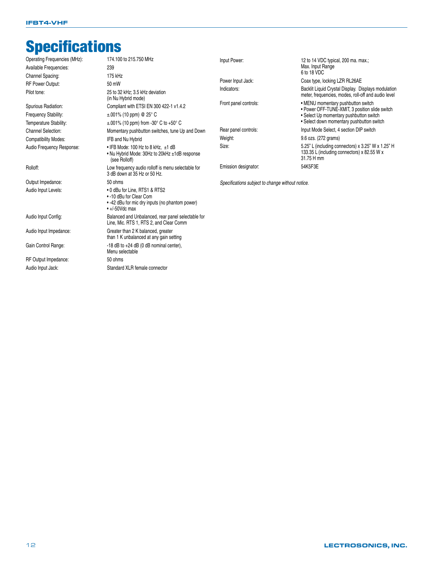## **Specifications**

| 174.100 to 215.750 MHz<br>Operating Frequencies (MHz): |                                                                                                                                     | Input Power:                                     | 12 to 14 VDC typical, 200 ma. max.;                                                                             |
|--------------------------------------------------------|-------------------------------------------------------------------------------------------------------------------------------------|--------------------------------------------------|-----------------------------------------------------------------------------------------------------------------|
| Available Frequencies:                                 | 239                                                                                                                                 |                                                  | Max. Input Range                                                                                                |
| Channel Spacing:                                       | 175 kHz                                                                                                                             |                                                  | 6 to 18 VDC                                                                                                     |
| <b>RF Power Output:</b>                                | 50 mW                                                                                                                               | Power Input Jack:                                | Coax type, locking LZR RL26AE                                                                                   |
| Pilot tone:                                            | 25 to 32 kHz: 3.5 kHz deviation<br>(in Nu Hybrid mode)                                                                              | Indicators:                                      | Backlit Liquid Crystal Display. Displays modulation<br>meter, frequencies, modes, roll-off and audio level      |
| Spurious Radiation:                                    | Compliant with ETSI EN 300 422-1 v1.4.2                                                                                             | Front panel controls:                            | • MENU momentary pushbutton switch<br>• Power OFF-TUNE-XMIT, 3 position slide switch                            |
| Frequency Stability:                                   | $\pm$ .001% (10 ppm) @ 25° C                                                                                                        |                                                  | • Select Up momentary pushbutton switch                                                                         |
| Temperature Stability:                                 | $\pm$ .001% (10 ppm) from -30 $^{\circ}$ C to +50 $^{\circ}$ C                                                                      |                                                  | • Select down momentary pushbutton switch                                                                       |
| <b>Channel Selection:</b>                              | Momentary pushbutton switches, tune Up and Down                                                                                     | Rear panel controls:                             | Input Mode Select, 4 section DIP switch                                                                         |
| <b>Compatibility Modes:</b>                            | IFB and Nu Hybrid                                                                                                                   | Weight:                                          | 9.6 ozs. (272 grams)                                                                                            |
| Audio Frequency Response:                              | • IFB Mode: 100 Hz to 8 kHz, ±1 dB<br>• Nu Hybrid Mode: 30Hz to 20kHz ±1dB response<br>(see Rolloff)                                | Size:                                            | 5.25" L (including connectors) x 3.25" W x 1.25" H<br>133.35 L (including connectors) x 82.55 W x<br>31.75 H mm |
| Rolloff:                                               | Low frequency audio rolloff is menu selectable for<br>3 dB down at 35 Hz or 50 Hz.                                                  | Emission designator:                             | 54K5F3E                                                                                                         |
| Output Impedance:                                      | 50 ohms                                                                                                                             | Specifications subject to change without notice. |                                                                                                                 |
| Audio Input Levels:                                    | • 0 dBu for Line. RTS1 & RTS2<br>• -10 dBu for Clear Com<br>• -42 dBu for mic dry inputs (no phantom power)<br>$\cdot$ +/-50Vdc max |                                                  |                                                                                                                 |
| Audio Input Config:                                    | Balanced and Unbalanced, rear panel selectable for<br>Line, Mic. RTS 1, RTS 2, and Clear Comm                                       |                                                  |                                                                                                                 |
| Audio Input Impedance:                                 | Greater than 2 K balanced, greater<br>than 1 K unbalanced at any gain setting                                                       |                                                  |                                                                                                                 |
| Gain Control Range:                                    | $-18$ dB to $+24$ dB (0 dB nominal center),<br>Menu selectable                                                                      |                                                  |                                                                                                                 |
| RF Output Impedance:                                   | 50 ohms                                                                                                                             |                                                  |                                                                                                                 |
| Audio Input Jack:                                      | Standard XLR female connector                                                                                                       |                                                  |                                                                                                                 |
|                                                        |                                                                                                                                     |                                                  |                                                                                                                 |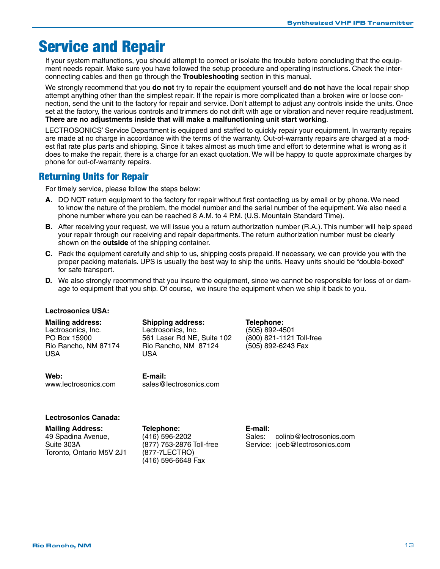## Service and Repair

If your system malfunctions, you should attempt to correct or isolate the trouble before concluding that the equipment needs repair. Make sure you have followed the setup procedure and operating instructions. Check the interconnecting cables and then go through the **Troubleshooting** section in this manual.

We strongly recommend that you **do not** try to repair the equipment yourself and **do not** have the local repair shop attempt anything other than the simplest repair. If the repair is more complicated than a broken wire or loose connection, send the unit to the factory for repair and service. Don't attempt to adjust any controls inside the units. Once set at the factory, the various controls and trimmers do not drift with age or vibration and never require readjustment. **There are no adjustments inside that will make a malfunctioning unit start working**.

LECTROSONICS' Service Department is equipped and staffed to quickly repair your equipment. In warranty repairs are made at no charge in accordance with the terms of the warranty. Out-of-warranty repairs are charged at a modest flat rate plus parts and shipping. Since it takes almost as much time and effort to determine what is wrong as it does to make the repair, there is a charge for an exact quotation. We will be happy to quote approximate charges by phone for out-of-warranty repairs.

### Returning Units for Repair

For timely service, please follow the steps below:

- **A.** DO NOT return equipment to the factory for repair without first contacting us by email or by phone. We need to know the nature of the problem, the model number and the serial number of the equipment. We also need a phone number where you can be reached 8 A.M. to 4 P.M. (U.S. Mountain Standard Time).
- **B.** After receiving your request, we will issue you a return authorization number (R.A.). This number will help speed your repair through our receiving and repair departments. The return authorization number must be clearly shown on the **outside** of the shipping container.
- **C.** Pack the equipment carefully and ship to us, shipping costs prepaid. If necessary, we can provide you with the proper packing materials. UPS is usually the best way to ship the units. Heavy units should be "double-boxed" for safe transport.
- **D.** We also strongly recommend that you insure the equipment, since we cannot be responsible for loss of or damage to equipment that you ship. Of course, we insure the equipment when we ship it back to you.

#### **Lectrosonics USA:**

USA USA

**Mailing address: Shipping address: Telephone:** Lectrosonics, Inc. Lectrosonics, Inc. (505) 892-4501 PO Box 15900 561 Laser Rd NE, Suite 102 (800) 821-1121 Toll-free Rio Rancho, NM 87174 Rio Rancho, NM 87124 (505) 892-6243 Fax

**Web: E-mail:**

www.lectrosonics.com sales@lectrosonics.com

#### **Lectrosonics Canada:**

| <b>Mailing Address:</b>  | Telephone:               | E-mail:                           |
|--------------------------|--------------------------|-----------------------------------|
| 49 Spadina Avenue,       | (416) 596-2202           | colinb@lectrosonics.com<br>Sales: |
| Suite 303A               | (877) 753-2876 Toll-free | Service: joeb@lectrosonics.com    |
| Toronto. Ontario M5V 2J1 | (877-7LECTRO)            |                                   |
|                          | $(416)$ 596-6648 Fax     |                                   |